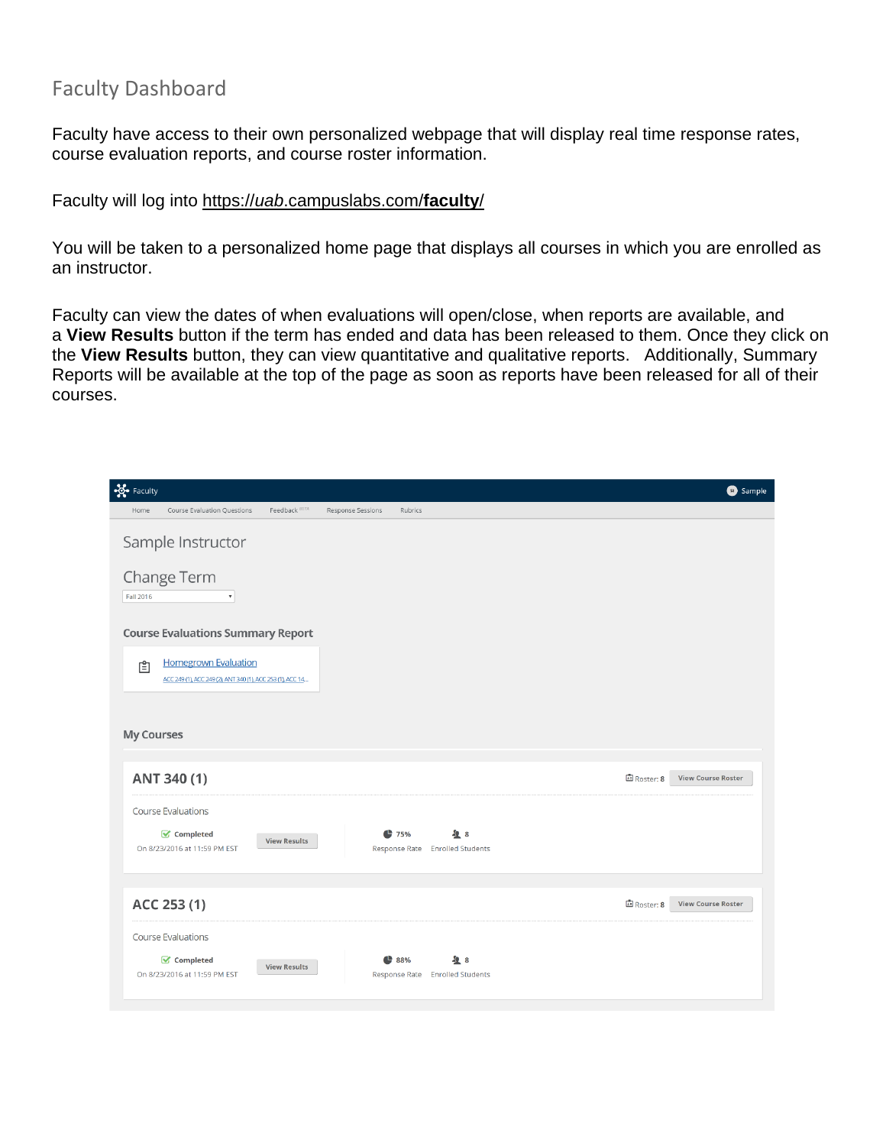#### Faculty Dashboard

Faculty have access to their own personalized webpage that will display real time response rates, course evaluation reports, and course roster information.

Faculty will log into https://*uab*.campuslabs.com/**faculty**/

You will be taken to a personalized home page that displays all courses in which you are enrolled as an instructor.

Faculty can view the dates of when evaluations will open/close, when reports are available, and a **View Results** button if the term has ended and data has been released to them. Once they click on the **View Results** button, they can view quantitative and qualitative reports. Additionally, Summary Reports will be available at the top of the page as soon as reports have been released for all of their courses.

| <b>So-</b> Faculty                                                                             |                                                                              | Sample                                   |
|------------------------------------------------------------------------------------------------|------------------------------------------------------------------------------|------------------------------------------|
| Feedback BETA<br>Home<br>Course Evaluation Questions                                           | Response Sessions<br>Rubrics                                                 |                                          |
| Sample Instructor<br>Change Term<br>Fall 2016<br>$\pmb{\mathrm{v}}$                            |                                                                              |                                          |
| <b>Course Evaluations Summary Report</b>                                                       |                                                                              |                                          |
| <b>Homegrown Evaluation</b><br>₿<br>ACC 249 (1), ACC 249 (2), ANT 340 (1), ACC 253 (1), ACC 14 |                                                                              |                                          |
| <b>My Courses</b>                                                                              |                                                                              |                                          |
| ANT 340 (1)                                                                                    |                                                                              | 国 Roster: 8<br><b>View Course Roster</b> |
| <b>Course Evaluations</b><br>Completed<br><b>View Results</b><br>On 8/23/2016 at 11:59 PM EST  | 475%<br>48<br>Response Rate Enrolled Students                                |                                          |
| ACC 253 (1)                                                                                    |                                                                              | 国 Roster: 8<br><b>View Course Roster</b> |
| <b>Course Evaluations</b><br>Completed<br><b>View Results</b><br>On 8/23/2016 at 11:59 PM EST  | $\frac{1}{2}8$<br>$\bullet$ 88%<br>Response Rate<br><b>Enrolled Students</b> |                                          |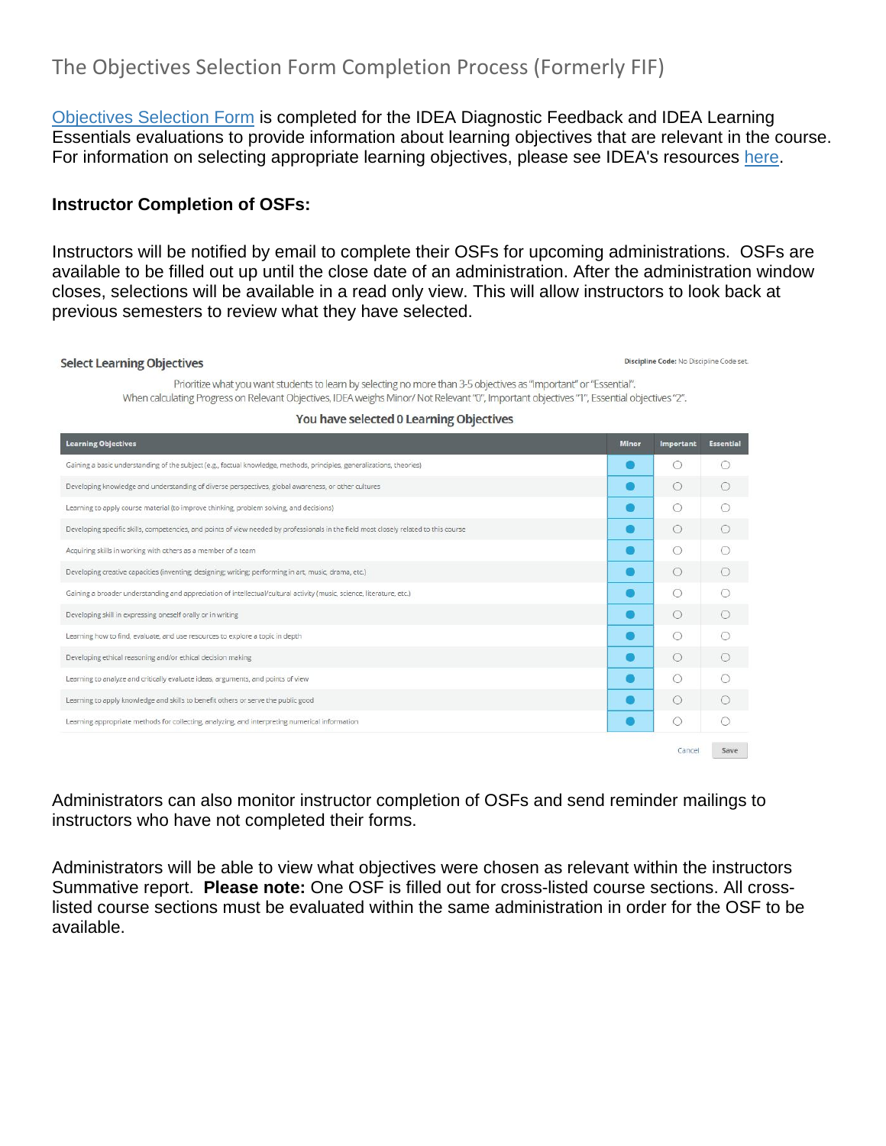#### The Objectives Selection Form Completion Process (Formerly FIF)

[Objectives Selection Form](http://ideaedu.org/wp-content/uploads/2015/12/Sample-SRI_learning-objectives.pdf) is completed for the IDEA Diagnostic Feedback and IDEA Learning Essentials evaluations to provide information about learning objectives that are relevant in the course. For information on selecting appropriate learning objectives, please see IDEA's resources [here.](http://ideaedu.org/support/strategies-for-selecting-learning-objectives/)

#### **Instructor Completion of OSFs:**

Instructors will be notified by email to complete their OSFs for upcoming administrations. OSFs are available to be filled out up until the close date of an administration. After the administration window closes, selections will be available in a read only view. This will allow instructors to look back at previous semesters to review what they have selected.

#### **Select Learning Objectives**

Discipline Code: No Discipline Code set.

| Prioritize what you want students to learn by selecting no more than 3-5 objectives as "Important" or "Essential".                       |
|------------------------------------------------------------------------------------------------------------------------------------------|
| "When calculating Progress on Relevant Objectives, IDEA weighs Minor/Not Relevant "0", Important objectives "1", Essential objectives "2 |

#### **Minor** Important Essential **Learning Objectives** Gaining a basic understanding of the subject (e.g., factual knowledge, methods, principles, generalizations, theories)  $\bullet$  $\circ$  $\bigcirc$  $\circ$  $\bullet$  $\circ$ Developing knowledge and understanding of diverse perspectives, global awareness, or other cultures  $\bullet$  $\circ$  $\circ$ Learning to apply course material (to improve thinking, problem solving, and decisions)  $\bullet$  $\circ$ Developing specific skills, competencies, and points of view needed by professionals in the field most closely related to this course  $\circ$ Acquiring skills in working with others as a member of a team  $\circ$  $\bullet$  $\bigcirc$  $\bullet$  $\circ$  $\circ$ Developing creative capacities (inventing; designing; writing; performing in art, music, drama, etc.)  $\bullet$  $\circ$  $\circ$ Gaining a broader understanding and appreciation of intellectual/cultural activity (music, science, literature, etc.)  $\bigcirc$  $\bullet$  $\circ$ Developing skill in expressing oneself orally or in writing  $\circ$  $\circ$  $\bullet$ Learning how to find, evaluate, and use resources to explore a topic in depth  $\circ$  $\circ$ Developing ethical reasoning and/or ethical decision making  $\bullet$  $\bullet$  $\circ$ Learning to analyze and critically evaluate ideas, arguments, and points of view  $\bigcirc$  $\bullet$  $\circ$  $\circ$ Learning to apply knowledge and skills to benefit others or serve the public good Learning appropriate methods for collecting, analyzing, and interpreting numerical information  $\bullet$  $\circ$  $\circ$ Save Cancel

#### You have selected 0 Learning Objectives

Administrators can also monitor instructor completion of OSFs and send reminder mailings to instructors who have not completed their forms.

Administrators will be able to view what objectives were chosen as relevant within the instructors Summative report. **Please note:** One OSF is filled out for cross-listed course sections. All crosslisted course sections must be evaluated within the same administration in order for the OSF to be available.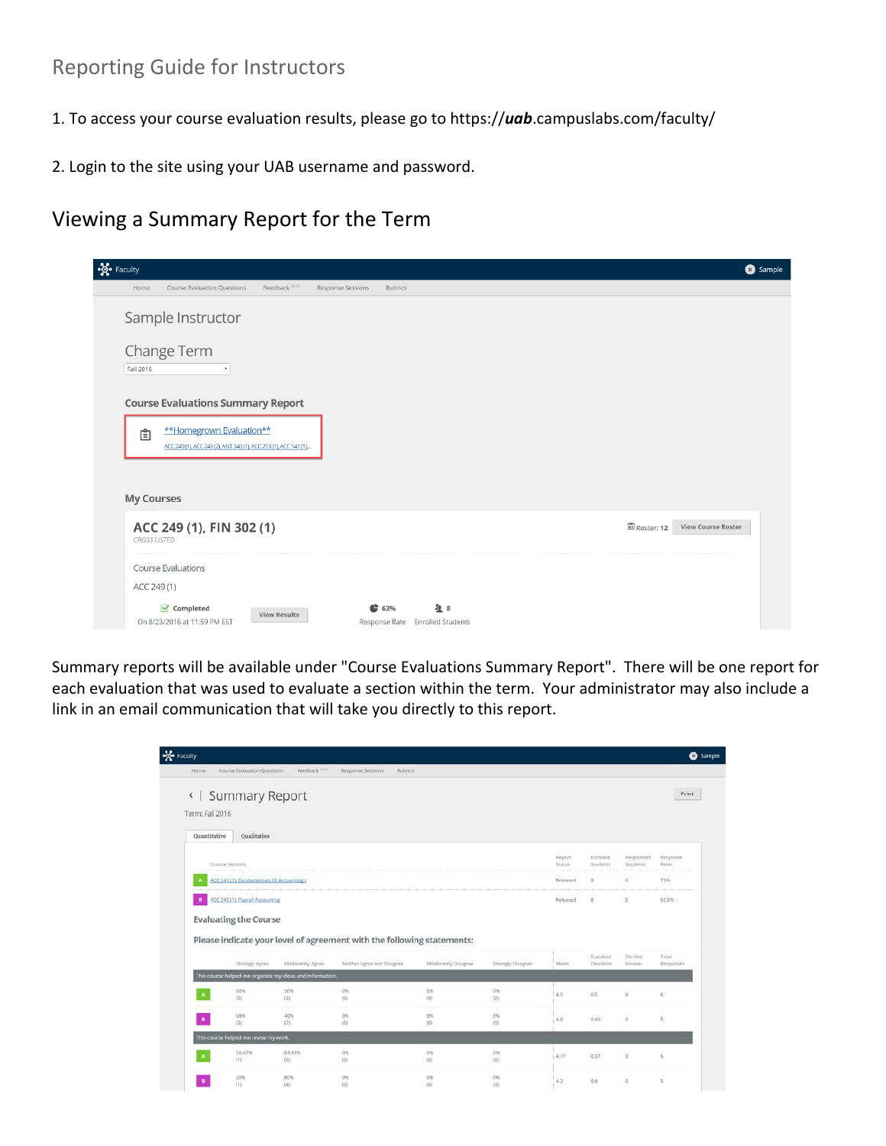### Reporting Guide for Instructors

- 1. To access your course evaluation results, please go to https://*uab*.campuslabs.com/faculty/
- 2. Login to the site using your UAB username and password.

### Viewing a Summary Report for the Term

| <b>Sol</b> Faculty<br><b>6</b> Sample                                                                                         |
|-------------------------------------------------------------------------------------------------------------------------------|
| Feedback BETA<br>Course Evaluation Questions<br>Response Sessions<br>Rubrics<br>Home                                          |
| Sample Instructor                                                                                                             |
| Change Term<br>Fall 2016                                                                                                      |
| <b>Course Evaluations Summary Report</b>                                                                                      |
| **Homegrown Evaluation**<br>自<br>ACC 249(1), ACC 249(2), ANT 340(1), ACC 253(1), ACC 141(1),                                  |
| <b>My Courses</b>                                                                                                             |
| ACC 249 (1), FIN 302 (1)<br>国 Roster: 12<br><b>View Course Roster</b><br><b>CROSS LISTED</b>                                  |
| <b>Course Evaluations</b>                                                                                                     |
| ACC 249(1)                                                                                                                    |
| $\frac{1}{2}$ 8<br>Completed<br>63%<br><b>View Results</b><br>On 8/23/2016 at 11:59 PM EST<br>Response Rate Enrolled Students |

Summary reports will be available under "Course Evaluations Summary Report". There will be one report for each evaluation that was used to evaluate a section within the term. Your administrator may also include a link in an email communication that will take you directly to this report.

|                 |                                         |                                                                              |                                                                        |                     |                           |                   |                         |                              | <b>O</b> Sample          |
|-----------------|-----------------------------------------|------------------------------------------------------------------------------|------------------------------------------------------------------------|---------------------|---------------------------|-------------------|-------------------------|------------------------------|--------------------------|
| Home            | Course Evaluation Questions             | Feedback <sup>1878</sup>                                                     | Response Sessions<br><b>Rubrics</b>                                    |                     |                           |                   |                         |                              |                          |
| Term: Fall 2016 | «   Summary Report                      |                                                                              |                                                                        |                     |                           |                   |                         |                              | Print                    |
| Quantitative    | Qualitative                             |                                                                              |                                                                        |                     |                           |                   |                         |                              |                          |
|                 | Course Sections                         |                                                                              |                                                                        |                     |                           | Report<br>Status. | Enrolled<br>Students.   | Responded<br><b>Students</b> | Response<br><b>Rates</b> |
| A               | ACC 141 (1): Fundamentals Of Accounting |                                                                              |                                                                        |                     |                           | Released          | $\overline{\mathbf{a}}$ | 6                            | 75%                      |
| $\mathbf{B}$    | ACC 249 (1): Payroll Accounting         |                                                                              |                                                                        |                     |                           | Released          | 8                       | 5                            | 62.5%                    |
|                 |                                         |                                                                              |                                                                        |                     |                           |                   |                         |                              |                          |
|                 |                                         |                                                                              | Please indicate your level of agreement with the following statements: |                     |                           |                   | Standard<br>Deviation   | Did Not                      | Total                    |
|                 | Strangly Agree                          | Moderately Agree<br>This course helped me organize my ideas and information. | Neither Agree nor Disagree                                             | Moderately Disagree | Strongly Disagree         | Mean              |                         | Answer                       | Responses                |
| A               | 50%<br>(3)                              | 50%<br>(35)                                                                  | 0%<br>(0)                                                              | 0%<br>${01}$        | D%<br>(0)                 | 4.5               | 0.5                     | $\Omega$                     | $\mathfrak{g}$           |
| $\mathbf{B}$    | 60%<br>(3)                              | 40%<br>(2)                                                                   | 0%<br>(6)                                                              | 0%<br>(0)           | 0%<br>(0)                 | 4.6               | 0.49                    | $0$                          | $\mathsf{S}$             |
|                 | This course helped me revise my work.   |                                                                              |                                                                        |                     |                           |                   |                         |                              |                          |
| $\mathbf{A}$    | 16.67%<br>(11)                          | 83,33%<br>(5)                                                                | 0%<br>(0)                                                              | 0%<br>(0)           | 0%<br>$\langle 0 \rangle$ | 4.17              | 0.37                    | o                            | $\overline{G}$           |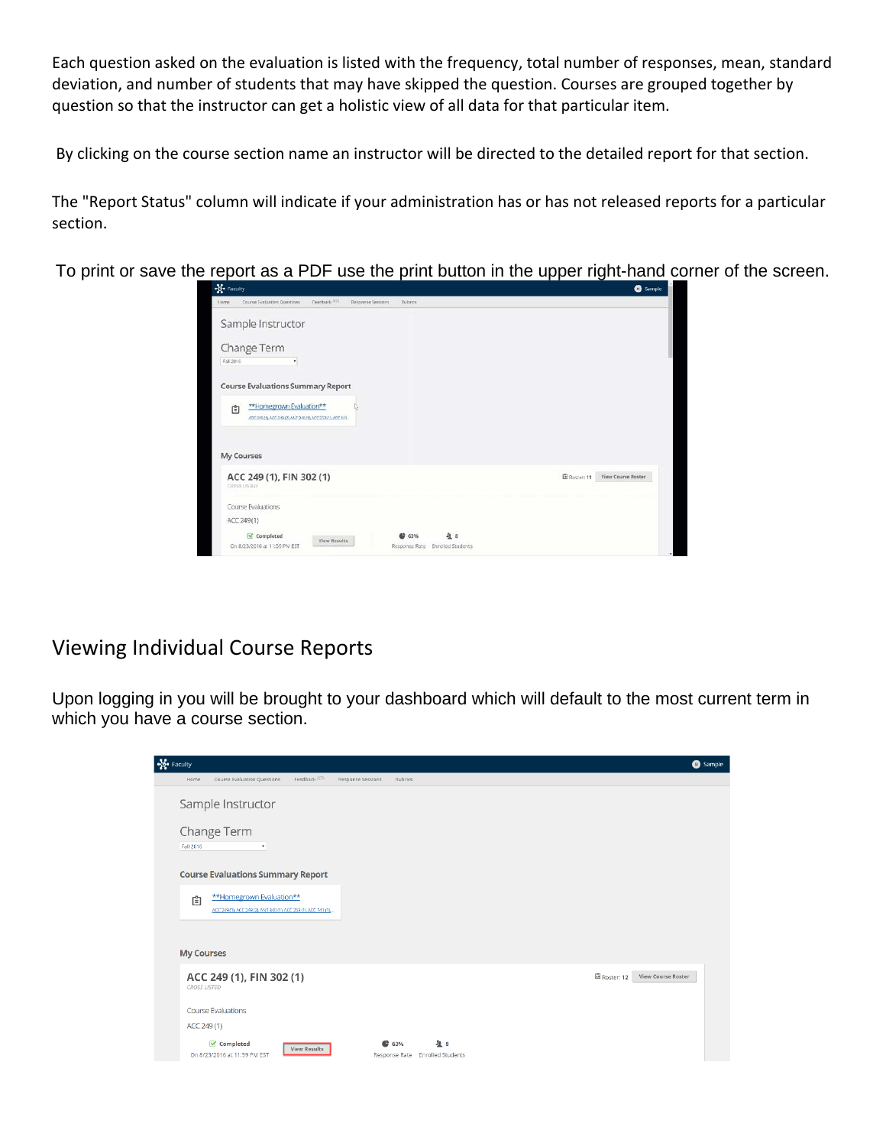Each question asked on the evaluation is listed with the frequency, total number of responses, mean, standard deviation, and number of students that may have skipped the question. Courses are grouped together by question so that the instructor can get a holistic view of all data for that particular item.

By clicking on the course section name an instructor will be directed to the detailed report for that section.

The "Report Status" column will indicate if your administration has or has not released reports for a particular section.

To print or save the report as a PDF use the print button in the upper right-hand corner of the screen.

| of Faculty                                                                                                                            | <b>O</b> Sample                   |
|---------------------------------------------------------------------------------------------------------------------------------------|-----------------------------------|
| Feedback <sup>3711</sup><br>Course Evaluation Questions<br>Response Sessions<br>lions<br>Rubries                                      |                                   |
| Sample Instructor                                                                                                                     |                                   |
| Change Term                                                                                                                           |                                   |
| Fall 2016<br>٠                                                                                                                        |                                   |
| <b>Course Evaluations Summary Report</b>                                                                                              |                                   |
| **Homegrown Evaluation**<br>自<br>ACC 249111 ACC 349 (2), ANT 3/0111 ACC 253(1), ACC 941.                                              |                                   |
| My Courses                                                                                                                            |                                   |
| ACC 249 (1), FIN 302 (1)<br>CROSS 1/57ED                                                                                              | E Rocer: 11<br>View Course Roster |
| Course Evaluations                                                                                                                    |                                   |
| ACC 249(1)                                                                                                                            |                                   |
| <b>A</b> 8<br>Completed<br>62 63%<br><b>View Results</b><br>On 8/23/2016 at 11:59 PM EST<br>Response Rate<br><b>Enrolled Students</b> |                                   |

#### Viewing Individual Course Reports

Upon logging in you will be brought to your dashboard which will default to the most current term in which you have a course section.

| $\frac{1}{2}$ Faculty                                                                             |                                               | <b>6</b> Sample                         |
|---------------------------------------------------------------------------------------------------|-----------------------------------------------|-----------------------------------------|
| Feedback 80%<br>Course Evaluation Questions<br>Home                                               | Response Sessions<br><b>Rubrics</b>           |                                         |
| Sample Instructor                                                                                 |                                               |                                         |
| Change Term<br>Fall 2016<br>$\boldsymbol{\mathrm{v}}$                                             |                                               |                                         |
| <b>Course Evaluations Summary Report</b>                                                          |                                               |                                         |
| **Homegrown Evaluation**<br>自<br>ACC 249 (1), ACC 249 (2), ANT 340 (1), ACC 253 (1), ACC 141 (1), |                                               |                                         |
| <b>My Courses</b>                                                                                 |                                               |                                         |
| ACC 249 (1), FIN 302 (1)<br><b>CROSS LISTED</b>                                                   |                                               | Roster: 12<br><b>View Course Roster</b> |
| <b>Course Evaluations</b>                                                                         |                                               |                                         |
| ACC 249(1)                                                                                        |                                               |                                         |
| Completed<br><b>View Results</b><br>On 8/23/2016 at 11:59 PM EST                                  | 皇日<br>463%<br>Response Rate Enrolled Students |                                         |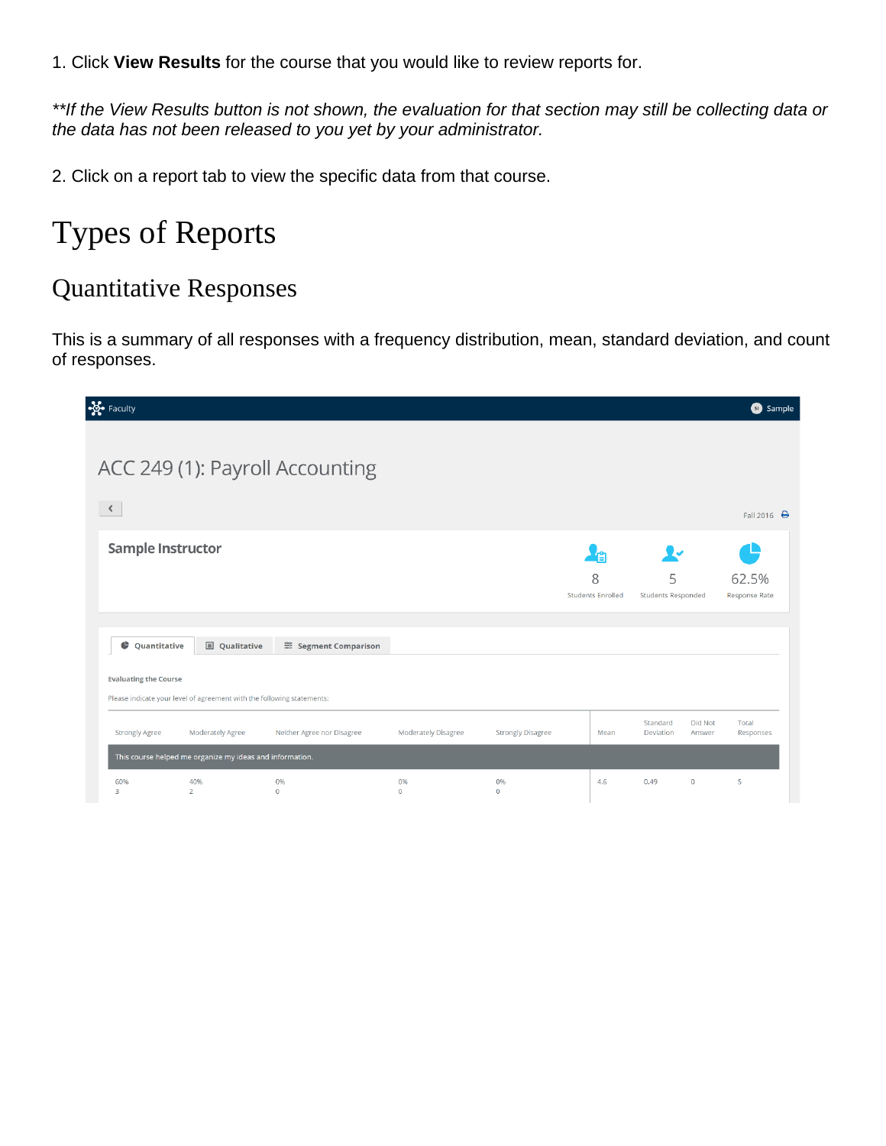1. Click **View Results** for the course that you would like to review reports for.

*\*\*If the View Results button is not shown, the evaluation for that section may still be collecting data or the data has not been released to you yet by your administrator.*

2. Click on a report tab to view the specific data from that course.

# Types of Reports

### Quantitative Responses

This is a summary of all responses with a frequency distribution, mean, standard deviation, and count of responses.

| ogo Faculty                  |                                                                        |                                 |                     |                          |                               |                                                                                                                                                                                                                                  |                                |                   | <b>3</b> Sample               |
|------------------------------|------------------------------------------------------------------------|---------------------------------|---------------------|--------------------------|-------------------------------|----------------------------------------------------------------------------------------------------------------------------------------------------------------------------------------------------------------------------------|--------------------------------|-------------------|-------------------------------|
|                              |                                                                        | ACC 249 (1): Payroll Accounting |                     |                          |                               |                                                                                                                                                                                                                                  |                                |                   |                               |
|                              |                                                                        |                                 |                     |                          |                               |                                                                                                                                                                                                                                  |                                |                   |                               |
| $\prec$                      |                                                                        |                                 |                     |                          |                               |                                                                                                                                                                                                                                  |                                |                   | Fall 2016 $\bigoplus$         |
| <b>Sample Instructor</b>     |                                                                        |                                 |                     |                          |                               | re de la partida de la partida de la capación de la capación de la capación de la capación de la capación de l<br>De la capación de la capación de la capación de la capación de la capación de la capación de la capación de la | ⊻∽                             |                   |                               |
|                              |                                                                        |                                 |                     |                          | 8<br><b>Students Enrolled</b> |                                                                                                                                                                                                                                  | 5<br><b>Students Responded</b> |                   | 62.5%<br><b>Response Rate</b> |
|                              |                                                                        |                                 |                     |                          |                               |                                                                                                                                                                                                                                  |                                |                   |                               |
| ¢<br>Quantitative            | <b>国</b> Qualitative                                                   | <sup>≈</sup> Segment Comparison |                     |                          |                               |                                                                                                                                                                                                                                  |                                |                   |                               |
| <b>Evaluating the Course</b> | Please indicate your level of agreement with the following statements: |                                 |                     |                          |                               |                                                                                                                                                                                                                                  |                                |                   |                               |
| <b>Strongly Agree</b>        | <b>Moderately Agree</b>                                                | Neither Agree nor Disagree      | Moderately Disagree | <b>Strongly Disagree</b> |                               | Mean                                                                                                                                                                                                                             | Standard<br><b>Deviation</b>   | Did Not<br>Answer | Total<br>Responses            |
|                              | This course helped me organize my ideas and information.               |                                 |                     |                          |                               |                                                                                                                                                                                                                                  |                                |                   |                               |
| 60%<br>3                     | 40%<br>$\overline{2}$                                                  | 0%<br>$\Omega$                  | 0%<br>$\mathbf{0}$  | 0%<br>$\mathbf 0$        |                               | 4.6                                                                                                                                                                                                                              | 0.49                           | $\circ$           | 5                             |